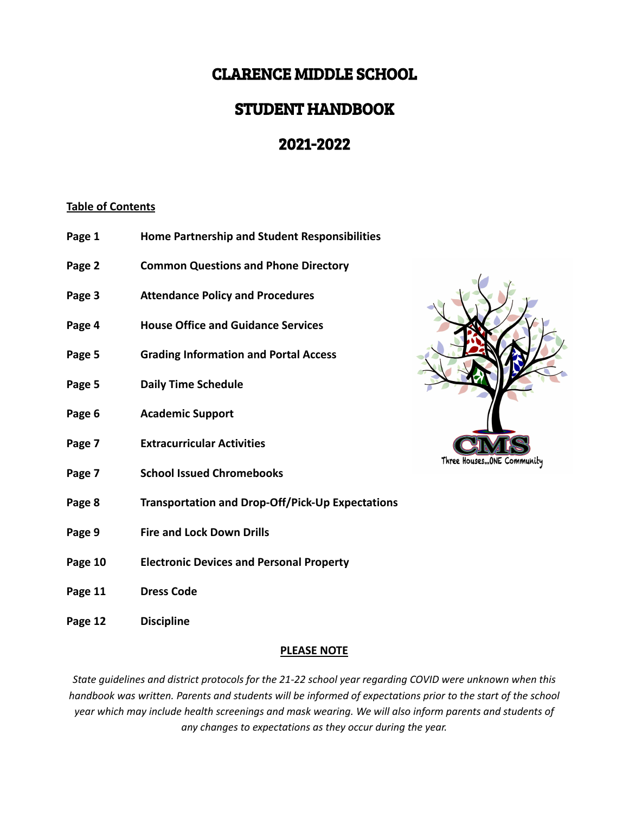# CLARENCE MIDDLE SCHOOL

# STUDENT HANDBOOK

# 2021-2022

# **Table of Contents**

- **Page 1 Home Partnership and Student Responsibilities**
- **Page 2 Common Questions and Phone Directory**
- **Page 3 Attendance Policy and Procedures**
- **Page 4 House Office and Guidance Services**
- **Page 5 Grading Information and Portal Access**
- **Page 5 Daily Time Schedule**
- **Page 6 Academic Support**
- **Page 7 Extracurricular Activities**
- **Page 7 School Issued Chromebooks**
- **Page 8 Transportation and Drop-Off/Pick-Up Expectations**
- **Page 9 Fire and Lock Down Drills**
- **Page 10 Electronic Devices and Personal Property**
- **Page 11 Dress Code**
- **Page 12 Discipline**

# **PLEASE NOTE**

*State guidelines and district protocols for the 21-22 school year regarding COVID were unknown when this* handbook was written. Parents and students will be informed of expectations prior to the start of the school *year which may include health screenings and mask wearing. We will also inform parents and students of any changes to expectations as they occur during the year.*

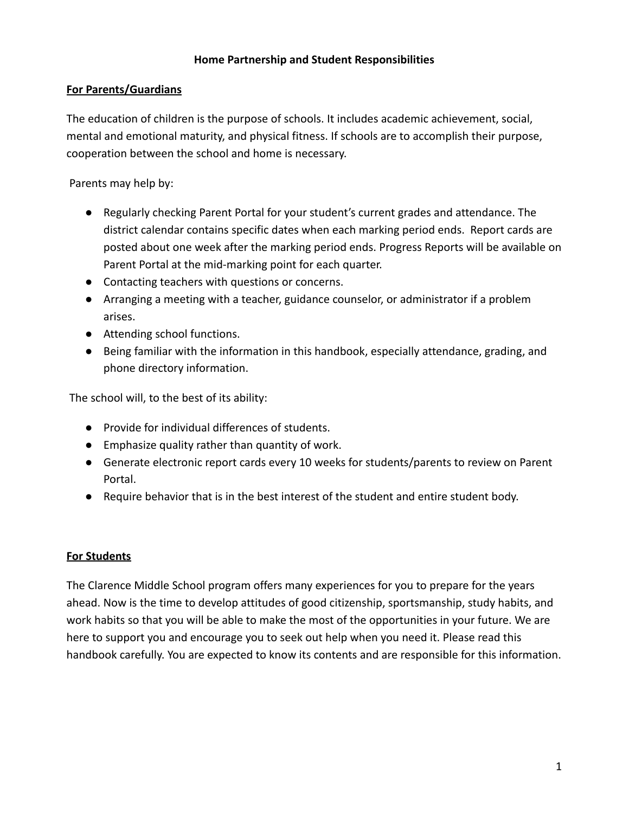# **Home Partnership and Student Responsibilities**

## **For Parents/Guardians**

The education of children is the purpose of schools. It includes academic achievement, social, mental and emotional maturity, and physical fitness. If schools are to accomplish their purpose, cooperation between the school and home is necessary.

Parents may help by:

- Regularly checking Parent Portal for your student's current grades and attendance. The district calendar contains specific dates when each marking period ends. Report cards are posted about one week after the marking period ends. Progress Reports will be available on Parent Portal at the mid-marking point for each quarter.
- Contacting teachers with questions or concerns.
- Arranging a meeting with a teacher, guidance counselor, or administrator if a problem arises.
- Attending school functions.
- Being familiar with the information in this handbook, especially attendance, grading, and phone directory information.

The school will, to the best of its ability:

- Provide for individual differences of students.
- Emphasize quality rather than quantity of work.
- Generate electronic report cards every 10 weeks for students/parents to review on Parent Portal.
- Require behavior that is in the best interest of the student and entire student body.

# **For Students**

The Clarence Middle School program offers many experiences for you to prepare for the years ahead. Now is the time to develop attitudes of good citizenship, sportsmanship, study habits, and work habits so that you will be able to make the most of the opportunities in your future. We are here to support you and encourage you to seek out help when you need it. Please read this handbook carefully. You are expected to know its contents and are responsible for this information.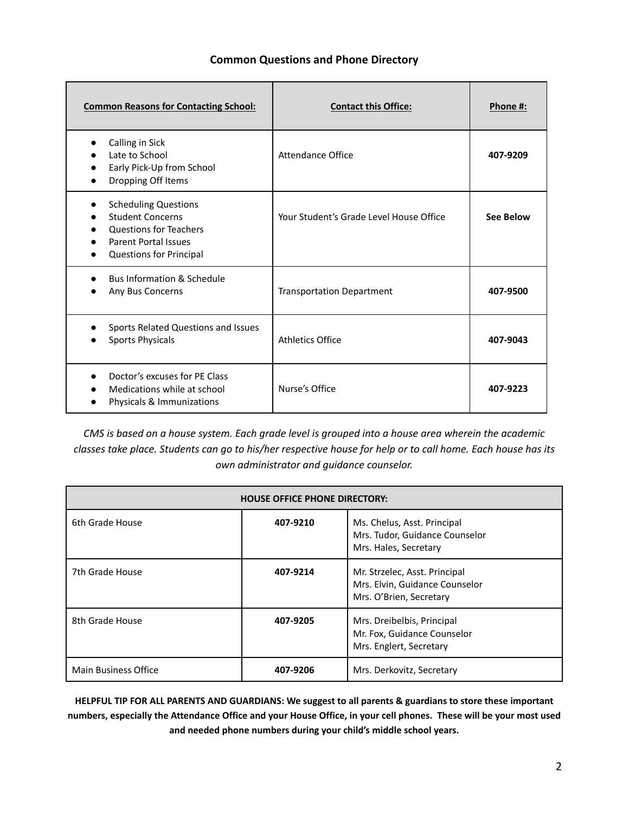#### **Common Questions and Phone Directory**

| <b>Common Reasons for Contacting School:</b>                                                                                                             | <b>Contact this Office:</b>             | Phone #:         |
|----------------------------------------------------------------------------------------------------------------------------------------------------------|-----------------------------------------|------------------|
| Calling in Sick<br>Late to School<br>Early Pick-Up from School<br>Dropping Off Items                                                                     | Attendance Office                       | 407-9209         |
| <b>Scheduling Questions</b><br><b>Student Concerns</b><br><b>Questions for Teachers</b><br><b>Parent Portal Issues</b><br><b>Questions for Principal</b> | Your Student's Grade Level House Office | <b>See Below</b> |
| <b>Bus Information &amp; Schedule</b><br>Any Bus Concerns                                                                                                | <b>Transportation Department</b>        | 407-9500         |
| Sports Related Questions and Issues<br><b>Sports Physicals</b>                                                                                           | Athletics Office                        | 407-9043         |
| Doctor's excuses for PE Class<br>Medications while at school<br>Physicals & Immunizations                                                                | Nurse's Office                          | 407-9223         |

CMS is based on a house system. Each grade level is grouped into a house area wherein the academic classes take place. Students can go to his/her respective house for help or to call home. Each house has its *own administrator and guidance counselor.*

| <b>HOUSE OFFICE PHONE DIRECTORY:</b> |          |                                                                                            |  |  |  |  |
|--------------------------------------|----------|--------------------------------------------------------------------------------------------|--|--|--|--|
| 6th Grade House                      | 407-9210 | Ms. Chelus, Asst. Principal<br>Mrs. Tudor, Guidance Counselor<br>Mrs. Hales, Secretary     |  |  |  |  |
| 7th Grade House                      | 407-9214 | Mr. Strzelec, Asst. Principal<br>Mrs. Elvin, Guidance Counselor<br>Mrs. O'Brien, Secretary |  |  |  |  |
| 8th Grade House                      | 407-9205 | Mrs. Dreibelbis, Principal<br>Mr. Fox, Guidance Counselor<br>Mrs. Englert, Secretary       |  |  |  |  |
| Main Business Office                 | 407-9206 | Mrs. Derkovitz, Secretary                                                                  |  |  |  |  |

HELPFUL TIP FOR ALL PARENTS AND GUARDIANS: We suggest to all parents & guardians to store these important numbers, especially the Attendance Office and your House Office, in your cell phones. These will be your most used **and needed phone numbers during your child's middle school years.**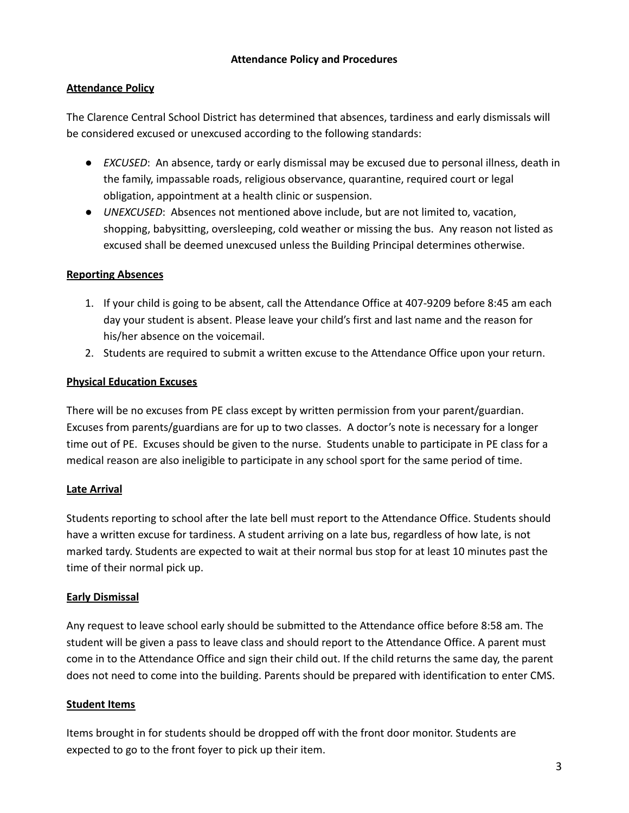## **Attendance Policy**

The Clarence Central School District has determined that absences, tardiness and early dismissals will be considered excused or unexcused according to the following standards:

- *EXCUSED*: An absence, tardy or early dismissal may be excused due to personal illness, death in the family, impassable roads, religious observance, quarantine, required court or legal obligation, appointment at a health clinic or suspension.
- *UNEXCUSED*: Absences not mentioned above include, but are not limited to, vacation, shopping, babysitting, oversleeping, cold weather or missing the bus. Any reason not listed as excused shall be deemed unexcused unless the Building Principal determines otherwise.

## **Reporting Absences**

- 1. If your child is going to be absent, call the Attendance Office at 407-9209 before 8:45 am each day your student is absent. Please leave your child's first and last name and the reason for his/her absence on the voicemail.
- 2. Students are required to submit a written excuse to the Attendance Office upon your return.

#### **Physical Education Excuses**

There will be no excuses from PE class except by written permission from your parent/guardian. Excuses from parents/guardians are for up to two classes. A doctor's note is necessary for a longer time out of PE. Excuses should be given to the nurse. Students unable to participate in PE class for a medical reason are also ineligible to participate in any school sport for the same period of time.

# **Late Arrival**

Students reporting to school after the late bell must report to the Attendance Office. Students should have a written excuse for tardiness. A student arriving on a late bus, regardless of how late, is not marked tardy. Students are expected to wait at their normal bus stop for at least 10 minutes past the time of their normal pick up.

#### **Early Dismissal**

Any request to leave school early should be submitted to the Attendance office before 8:58 am. The student will be given a pass to leave class and should report to the Attendance Office. A parent must come in to the Attendance Office and sign their child out. If the child returns the same day, the parent does not need to come into the building. Parents should be prepared with identification to enter CMS.

#### **Student Items**

Items brought in for students should be dropped off with the front door monitor. Students are expected to go to the front foyer to pick up their item.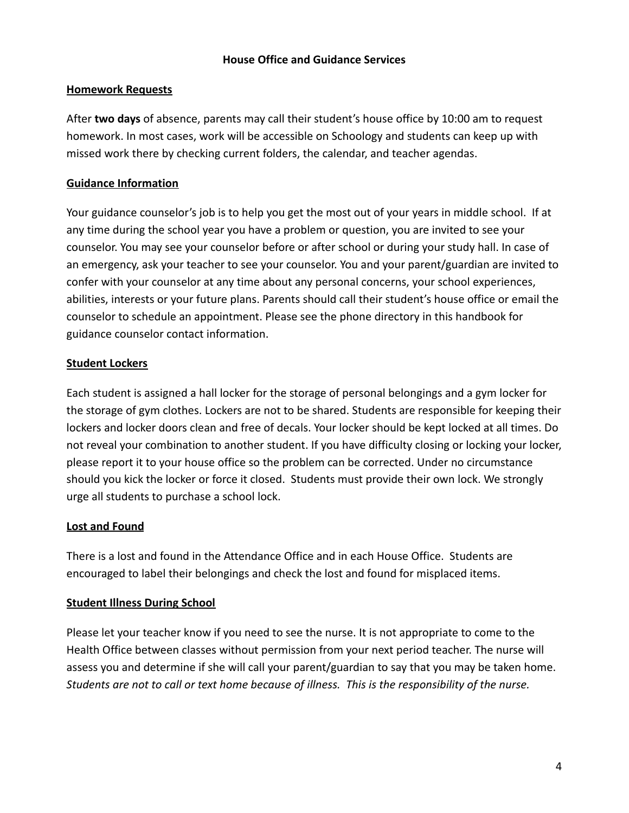## **House Office and Guidance Services**

## **Homework Requests**

After **two days** of absence, parents may call their student's house office by 10:00 am to request homework. In most cases, work will be accessible on Schoology and students can keep up with missed work there by checking current folders, the calendar, and teacher agendas.

# **Guidance Information**

Your guidance counselor's job is to help you get the most out of your years in middle school. If at any time during the school year you have a problem or question, you are invited to see your counselor. You may see your counselor before or after school or during your study hall. In case of an emergency, ask your teacher to see your counselor. You and your parent/guardian are invited to confer with your counselor at any time about any personal concerns, your school experiences, abilities, interests or your future plans. Parents should call their student's house office or email the counselor to schedule an appointment. Please see the phone directory in this handbook for guidance counselor contact information.

## **Student Lockers**

Each student is assigned a hall locker for the storage of personal belongings and a gym locker for the storage of gym clothes. Lockers are not to be shared. Students are responsible for keeping their lockers and locker doors clean and free of decals. Your locker should be kept locked at all times. Do not reveal your combination to another student. If you have difficulty closing or locking your locker, please report it to your house office so the problem can be corrected. Under no circumstance should you kick the locker or force it closed. Students must provide their own lock. We strongly urge all students to purchase a school lock.

#### **Lost and Found**

There is a lost and found in the Attendance Office and in each House Office. Students are encouraged to label their belongings and check the lost and found for misplaced items.

#### **Student Illness During School**

Please let your teacher know if you need to see the nurse. It is not appropriate to come to the Health Office between classes without permission from your next period teacher. The nurse will assess you and determine if she will call your parent/guardian to say that you may be taken home. *Students are not to call or text home because of illness. This is the responsibility of the nurse.*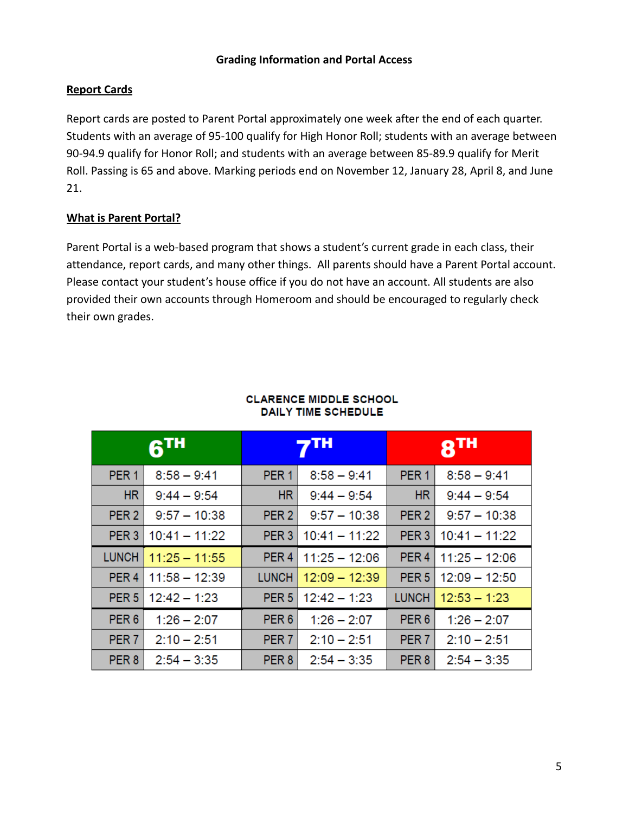## **Grading Information and Portal Access**

# **Report Cards**

Report cards are posted to Parent Portal approximately one week after the end of each quarter. Students with an average of 95-100 qualify for High Honor Roll; students with an average between 90-94.9 qualify for Honor Roll; and students with an average between 85-89.9 qualify for Merit Roll. Passing is 65 and above. Marking periods end on November 12, January 28, April 8, and June 21.

# **What is Parent Portal?**

Parent Portal is a web-based program that shows a student's current grade in each class, their attendance, report cards, and many other things. All parents should have a Parent Portal account. Please contact your student's house office if you do not have an account. All students are also provided their own accounts through Homeroom and should be encouraged to regularly check their own grades.

|                  | <b>61H</b>      | 7TH              |                 | $8$ TH           |                 |
|------------------|-----------------|------------------|-----------------|------------------|-----------------|
| PER <sub>1</sub> | $8:58 - 9:41$   | PER <sub>1</sub> | $8:58 - 9:41$   | PER <sub>1</sub> | $8:58 - 9:41$   |
| <b>HR</b>        | $9:44 - 9:54$   | <b>HR</b>        | $9:44 - 9:54$   | <b>HR</b>        | $9:44 - 9:54$   |
| PER <sub>2</sub> | $9:57 - 10:38$  | PER <sub>2</sub> | $9:57 - 10:38$  | PER <sub>2</sub> | $9:57 - 10:38$  |
| PER <sub>3</sub> | $10:41 - 11:22$ | PER <sub>3</sub> | $10:41 - 11:22$ | PER <sub>3</sub> | $10:41 - 11:22$ |
| <b>LUNCH</b>     | $11:25 - 11:55$ | PER <sub>4</sub> | $11:25 - 12:06$ | PER <sub>4</sub> | $11:25 - 12:06$ |
| PER <sub>4</sub> | $11:58 - 12:39$ | <b>LUNCH</b>     | $12:09 - 12:39$ | PER <sub>5</sub> | $12:09 - 12:50$ |
| PER <sub>5</sub> | $12:42 - 1:23$  | PER <sub>5</sub> | $12:42 - 1:23$  | <b>LUNCH</b>     | $12:53 - 1:23$  |
| PER <sub>6</sub> | $1:26 - 2:07$   | PER <sub>6</sub> | $1:26 - 2:07$   | PER <sub>6</sub> | $1:26 - 2:07$   |
| PER <sub>7</sub> | $2:10 - 2:51$   | PER <sub>7</sub> | $2:10 - 2:51$   | PER <sub>7</sub> | $2:10 - 2:51$   |
| PER <sub>8</sub> | $2:54 - 3:35$   | PER <sub>8</sub> | $2:54 - 3:35$   | PER <sub>8</sub> | $2:54 - 3:35$   |

#### **CLARENCE MIDDLE SCHOOL DAILY TIME SCHEDULE**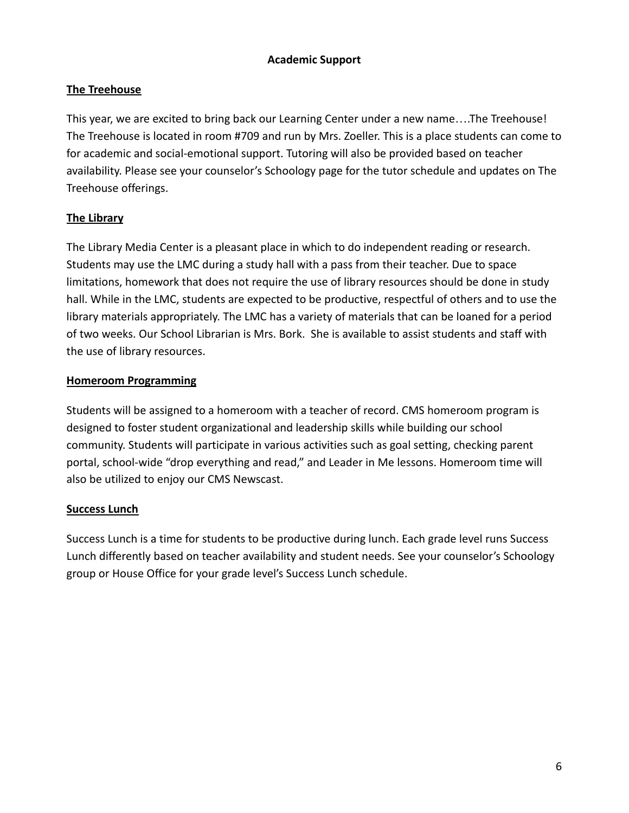# **Academic Support**

# **The Treehouse**

This year, we are excited to bring back our Learning Center under a new name….The Treehouse! The Treehouse is located in room #709 and run by Mrs. Zoeller. This is a place students can come to for academic and social-emotional support. Tutoring will also be provided based on teacher availability. Please see your counselor's Schoology page for the tutor schedule and updates on The Treehouse offerings.

# **The Library**

The Library Media Center is a pleasant place in which to do independent reading or research. Students may use the LMC during a study hall with a pass from their teacher. Due to space limitations, homework that does not require the use of library resources should be done in study hall. While in the LMC, students are expected to be productive, respectful of others and to use the library materials appropriately. The LMC has a variety of materials that can be loaned for a period of two weeks. Our School Librarian is Mrs. Bork. She is available to assist students and staff with the use of library resources.

# **Homeroom Programming**

Students will be assigned to a homeroom with a teacher of record. CMS homeroom program is designed to foster student organizational and leadership skills while building our school community. Students will participate in various activities such as goal setting, checking parent portal, school-wide "drop everything and read," and Leader in Me lessons. Homeroom time will also be utilized to enjoy our CMS Newscast.

# **Success Lunch**

Success Lunch is a time for students to be productive during lunch. Each grade level runs Success Lunch differently based on teacher availability and student needs. See your counselor's Schoology group or House Office for your grade level's Success Lunch schedule.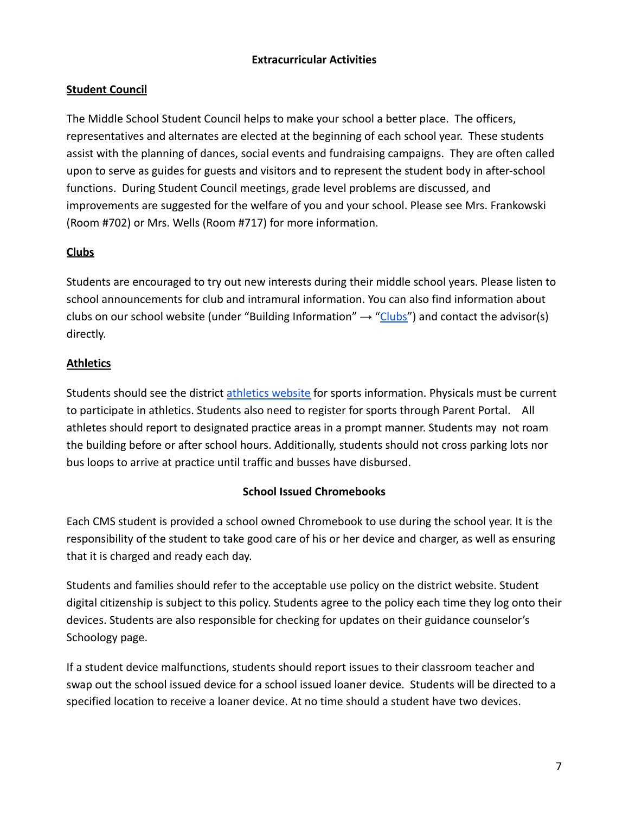# **Extracurricular Activities**

# **Student Council**

The Middle School Student Council helps to make your school a better place. The officers, representatives and alternates are elected at the beginning of each school year. These students assist with the planning of dances, social events and fundraising campaigns. They are often called upon to serve as guides for guests and visitors and to represent the student body in after-school functions. During Student Council meetings, grade level problems are discussed, and improvements are suggested for the welfare of you and your school. Please see Mrs. Frankowski (Room #702) or Mrs. Wells (Room #717) for more information.

# **Clubs**

Students are encouraged to try out new interests during their middle school years. Please listen to school announcements for club and intramural information. You can also find information about clubs on our school website (under "Building Information"  $\rightarrow$  ["Clubs"](https://www.clarenceschools.org/domain/908)) and contact the advisor(s) directly.

# **Athletics**

Students should see the district [athletics website](https://www.clarenceschools.org/domain/948) for sports information. Physicals must be current to participate in athletics. Students also need to register for sports through Parent Portal. All athletes should report to designated practice areas in a prompt manner. Students may not roam the building before or after school hours. Additionally, students should not cross parking lots nor bus loops to arrive at practice until traffic and busses have disbursed.

# **School Issued Chromebooks**

Each CMS student is provided a school owned Chromebook to use during the school year. It is the responsibility of the student to take good care of his or her device and charger, as well as ensuring that it is charged and ready each day.

Students and families should refer to the acceptable use policy on the district website. Student digital citizenship is subject to this policy. Students agree to the policy each time they log onto their devices. Students are also responsible for checking for updates on their guidance counselor's Schoology page.

If a student device malfunctions, students should report issues to their classroom teacher and swap out the school issued device for a school issued loaner device. Students will be directed to a specified location to receive a loaner device. At no time should a student have two devices.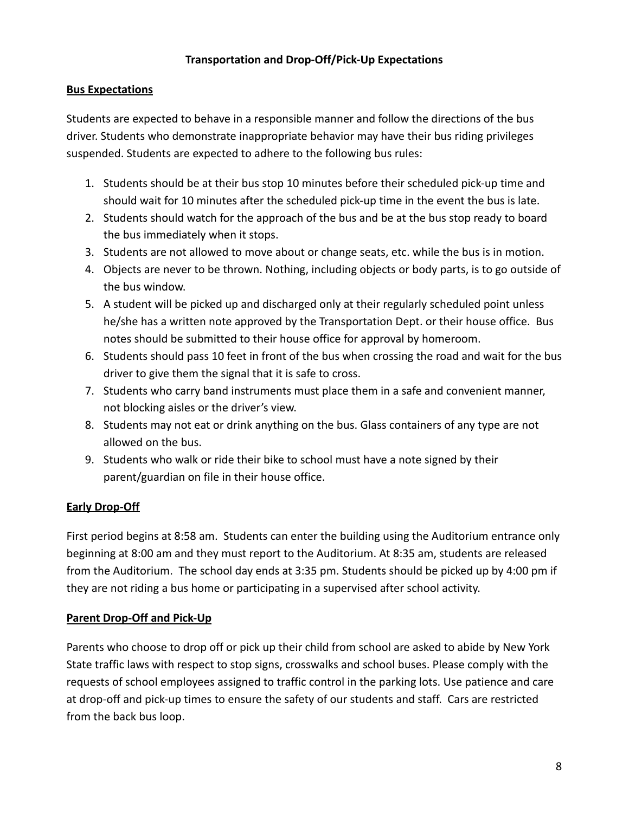# **Transportation and Drop-Off/Pick-Up Expectations**

# **Bus Expectations**

Students are expected to behave in a responsible manner and follow the directions of the bus driver. Students who demonstrate inappropriate behavior may have their bus riding privileges suspended. Students are expected to adhere to the following bus rules:

- 1. Students should be at their bus stop 10 minutes before their scheduled pick-up time and should wait for 10 minutes after the scheduled pick-up time in the event the bus is late.
- 2. Students should watch for the approach of the bus and be at the bus stop ready to board the bus immediately when it stops.
- 3. Students are not allowed to move about or change seats, etc. while the bus is in motion.
- 4. Objects are never to be thrown. Nothing, including objects or body parts, is to go outside of the bus window.
- 5. A student will be picked up and discharged only at their regularly scheduled point unless he/she has a written note approved by the Transportation Dept. or their house office. Bus notes should be submitted to their house office for approval by homeroom.
- 6. Students should pass 10 feet in front of the bus when crossing the road and wait for the bus driver to give them the signal that it is safe to cross.
- 7. Students who carry band instruments must place them in a safe and convenient manner, not blocking aisles or the driver's view.
- 8. Students may not eat or drink anything on the bus. Glass containers of any type are not allowed on the bus.
- 9. Students who walk or ride their bike to school must have a note signed by their parent/guardian on file in their house office.

# **Early Drop-Off**

First period begins at 8:58 am. Students can enter the building using the Auditorium entrance only beginning at 8:00 am and they must report to the Auditorium. At 8:35 am, students are released from the Auditorium. The school day ends at 3:35 pm. Students should be picked up by 4:00 pm if they are not riding a bus home or participating in a supervised after school activity.

# **Parent Drop-Off and Pick-Up**

Parents who choose to drop off or pick up their child from school are asked to abide by New York State traffic laws with respect to stop signs, crosswalks and school buses. Please comply with the requests of school employees assigned to traffic control in the parking lots. Use patience and care at drop-off and pick-up times to ensure the safety of our students and staff. Cars are restricted from the back bus loop.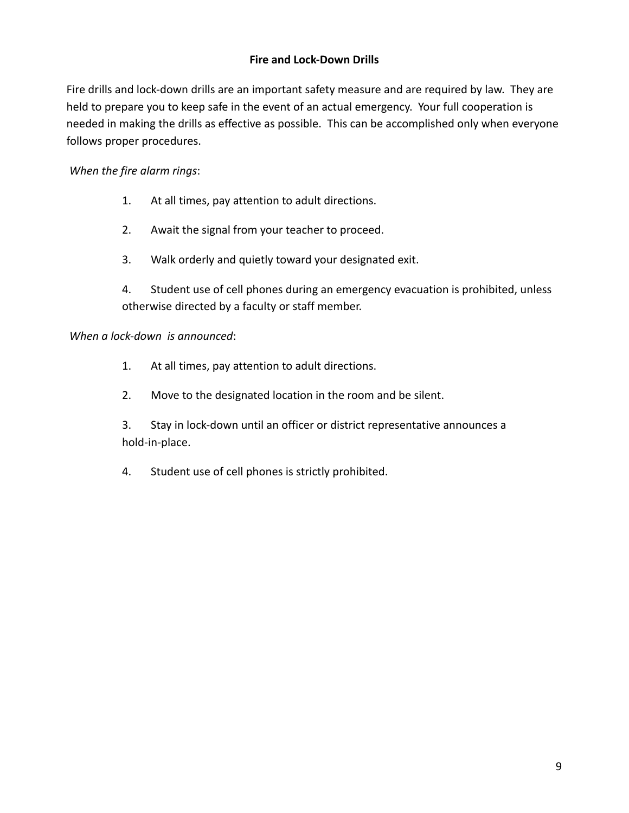# **Fire and Lock-Down Drills**

Fire drills and lock-down drills are an important safety measure and are required by law. They are held to prepare you to keep safe in the event of an actual emergency. Your full cooperation is needed in making the drills as effective as possible. This can be accomplished only when everyone follows proper procedures.

# *When the fire alarm rings*:

- 1. At all times, pay attention to adult directions.
- 2. Await the signal from your teacher to proceed.
- 3. Walk orderly and quietly toward your designated exit.
- 4. Student use of cell phones during an emergency evacuation is prohibited, unless otherwise directed by a faculty or staff member.

# *When a lock-down is announced*:

- 1. At all times, pay attention to adult directions.
- 2. Move to the designated location in the room and be silent.
- 3. Stay in lock-down until an officer or district representative announces a hold-in-place.
- 4. Student use of cell phones is strictly prohibited.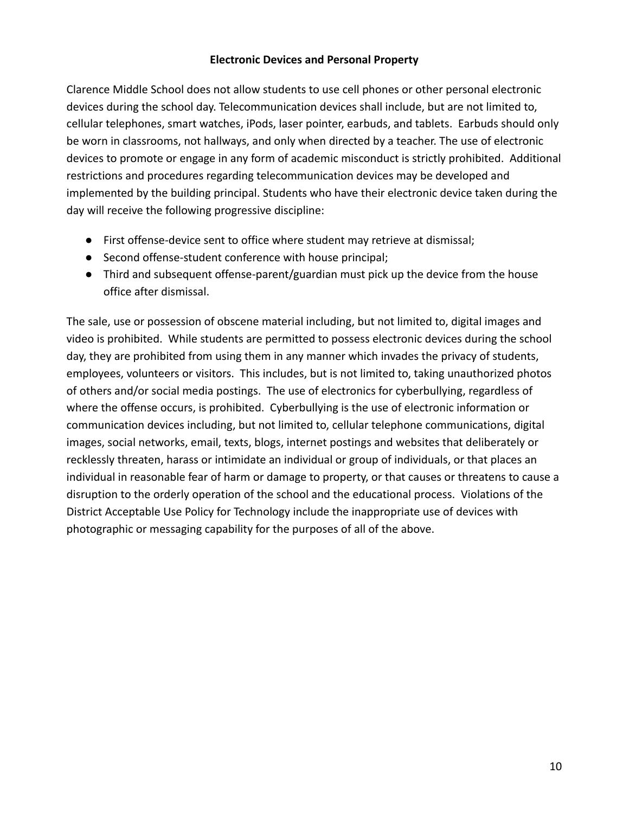## **Electronic Devices and Personal Property**

Clarence Middle School does not allow students to use cell phones or other personal electronic devices during the school day. Telecommunication devices shall include, but are not limited to, cellular telephones, smart watches, iPods, laser pointer, earbuds, and tablets. Earbuds should only be worn in classrooms, not hallways, and only when directed by a teacher. The use of electronic devices to promote or engage in any form of academic misconduct is strictly prohibited. Additional restrictions and procedures regarding telecommunication devices may be developed and implemented by the building principal. Students who have their electronic device taken during the day will receive the following progressive discipline:

- First offense-device sent to office where student may retrieve at dismissal;
- Second offense-student conference with house principal;
- Third and subsequent offense-parent/guardian must pick up the device from the house office after dismissal.

The sale, use or possession of obscene material including, but not limited to, digital images and video is prohibited. While students are permitted to possess electronic devices during the school day, they are prohibited from using them in any manner which invades the privacy of students, employees, volunteers or visitors. This includes, but is not limited to, taking unauthorized photos of others and/or social media postings. The use of electronics for cyberbullying, regardless of where the offense occurs, is prohibited. Cyberbullying is the use of electronic information or communication devices including, but not limited to, cellular telephone communications, digital images, social networks, email, texts, blogs, internet postings and websites that deliberately or recklessly threaten, harass or intimidate an individual or group of individuals, or that places an individual in reasonable fear of harm or damage to property, or that causes or threatens to cause a disruption to the orderly operation of the school and the educational process. Violations of the District Acceptable Use Policy for Technology include the inappropriate use of devices with photographic or messaging capability for the purposes of all of the above.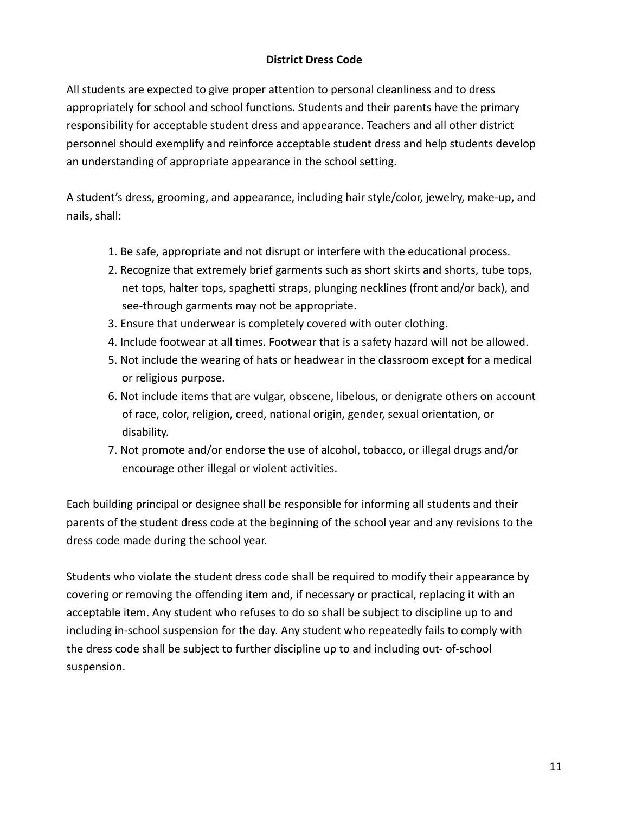# **District Dress Code**

All students are expected to give proper attention to personal cleanliness and to dress appropriately for school and school functions. Students and their parents have the primary responsibility for acceptable student dress and appearance. Teachers and all other district personnel should exemplify and reinforce acceptable student dress and help students develop an understanding of appropriate appearance in the school setting.

A student's dress, grooming, and appearance, including hair style/color, jewelry, make-up, and nails, shall:

- 1. Be safe, appropriate and not disrupt or interfere with the educational process.
- 2. Recognize that extremely brief garments such as short skirts and shorts, tube tops, net tops, halter tops, spaghetti straps, plunging necklines (front and/or back), and see-through garments may not be appropriate.
- 3. Ensure that underwear is completely covered with outer clothing.
- 4. Include footwear at all times. Footwear that is a safety hazard will not be allowed.
- 5. Not include the wearing of hats or headwear in the classroom except for a medical or religious purpose.
- 6. Not include items that are vulgar, obscene, libelous, or denigrate others on account of race, color, religion, creed, national origin, gender, sexual orientation, or disability.
- 7. Not promote and/or endorse the use of alcohol, tobacco, or illegal drugs and/or encourage other illegal or violent activities.

Each building principal or designee shall be responsible for informing all students and their parents of the student dress code at the beginning of the school year and any revisions to the dress code made during the school year.

Students who violate the student dress code shall be required to modify their appearance by covering or removing the offending item and, if necessary or practical, replacing it with an acceptable item. Any student who refuses to do so shall be subject to discipline up to and including in-school suspension for the day. Any student who repeatedly fails to comply with the dress code shall be subject to further discipline up to and including out- of-school suspension.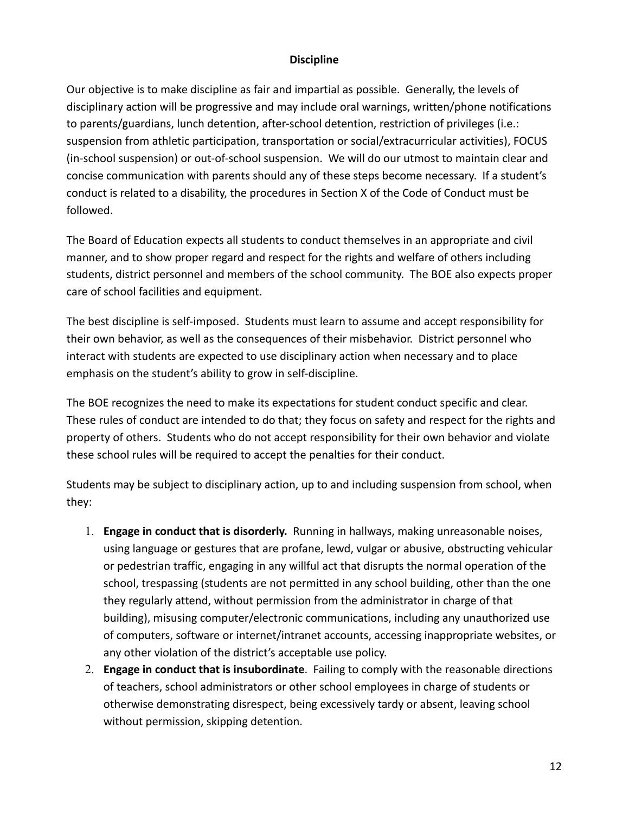# **Discipline**

Our objective is to make discipline as fair and impartial as possible. Generally, the levels of disciplinary action will be progressive and may include oral warnings, written/phone notifications to parents/guardians, lunch detention, after-school detention, restriction of privileges (i.e.: suspension from athletic participation, transportation or social/extracurricular activities), FOCUS (in-school suspension) or out-of-school suspension. We will do our utmost to maintain clear and concise communication with parents should any of these steps become necessary. If a student's conduct is related to a disability, the procedures in Section X of the Code of Conduct must be followed.

The Board of Education expects all students to conduct themselves in an appropriate and civil manner, and to show proper regard and respect for the rights and welfare of others including students, district personnel and members of the school community. The BOE also expects proper care of school facilities and equipment.

The best discipline is self-imposed. Students must learn to assume and accept responsibility for their own behavior, as well as the consequences of their misbehavior. District personnel who interact with students are expected to use disciplinary action when necessary and to place emphasis on the student's ability to grow in self-discipline.

The BOE recognizes the need to make its expectations for student conduct specific and clear. These rules of conduct are intended to do that; they focus on safety and respect for the rights and property of others. Students who do not accept responsibility for their own behavior and violate these school rules will be required to accept the penalties for their conduct.

Students may be subject to disciplinary action, up to and including suspension from school, when they:

- 1. **Engage in conduct that is disorderly.** Running in hallways, making unreasonable noises, using language or gestures that are profane, lewd, vulgar or abusive, obstructing vehicular or pedestrian traffic, engaging in any willful act that disrupts the normal operation of the school, trespassing (students are not permitted in any school building, other than the one they regularly attend, without permission from the administrator in charge of that building), misusing computer/electronic communications, including any unauthorized use of computers, software or internet/intranet accounts, accessing inappropriate websites, or any other violation of the district's acceptable use policy.
- 2. **Engage in conduct that is insubordinate**. Failing to comply with the reasonable directions of teachers, school administrators or other school employees in charge of students or otherwise demonstrating disrespect, being excessively tardy or absent, leaving school without permission, skipping detention.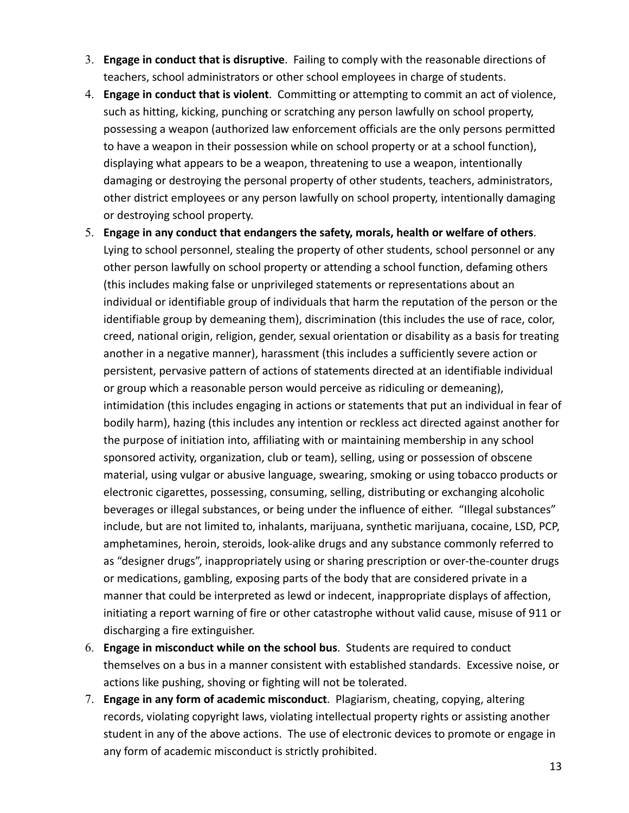- 3. **Engage in conduct that is disruptive**. Failing to comply with the reasonable directions of teachers, school administrators or other school employees in charge of students.
- 4. **Engage in conduct that is violent**. Committing or attempting to commit an act of violence, such as hitting, kicking, punching or scratching any person lawfully on school property, possessing a weapon (authorized law enforcement officials are the only persons permitted to have a weapon in their possession while on school property or at a school function), displaying what appears to be a weapon, threatening to use a weapon, intentionally damaging or destroying the personal property of other students, teachers, administrators, other district employees or any person lawfully on school property, intentionally damaging or destroying school property.
- 5. **Engage in any conduct that endangers the safety, morals, health or welfare of others**. Lying to school personnel, stealing the property of other students, school personnel or any other person lawfully on school property or attending a school function, defaming others (this includes making false or unprivileged statements or representations about an individual or identifiable group of individuals that harm the reputation of the person or the identifiable group by demeaning them), discrimination (this includes the use of race, color, creed, national origin, religion, gender, sexual orientation or disability as a basis for treating another in a negative manner), harassment (this includes a sufficiently severe action or persistent, pervasive pattern of actions of statements directed at an identifiable individual or group which a reasonable person would perceive as ridiculing or demeaning), intimidation (this includes engaging in actions or statements that put an individual in fear of bodily harm), hazing (this includes any intention or reckless act directed against another for the purpose of initiation into, affiliating with or maintaining membership in any school sponsored activity, organization, club or team), selling, using or possession of obscene material, using vulgar or abusive language, swearing, smoking or using tobacco products or electronic cigarettes, possessing, consuming, selling, distributing or exchanging alcoholic beverages or illegal substances, or being under the influence of either. "Illegal substances" include, but are not limited to, inhalants, marijuana, synthetic marijuana, cocaine, LSD, PCP, amphetamines, heroin, steroids, look-alike drugs and any substance commonly referred to as "designer drugs", inappropriately using or sharing prescription or over-the-counter drugs or medications, gambling, exposing parts of the body that are considered private in a manner that could be interpreted as lewd or indecent, inappropriate displays of affection, initiating a report warning of fire or other catastrophe without valid cause, misuse of 911 or discharging a fire extinguisher.
- 6. **Engage in misconduct while on the school bus**. Students are required to conduct themselves on a bus in a manner consistent with established standards. Excessive noise, or actions like pushing, shoving or fighting will not be tolerated.
- 7. **Engage in any form of academic misconduct**. Plagiarism, cheating, copying, altering records, violating copyright laws, violating intellectual property rights or assisting another student in any of the above actions. The use of electronic devices to promote or engage in any form of academic misconduct is strictly prohibited.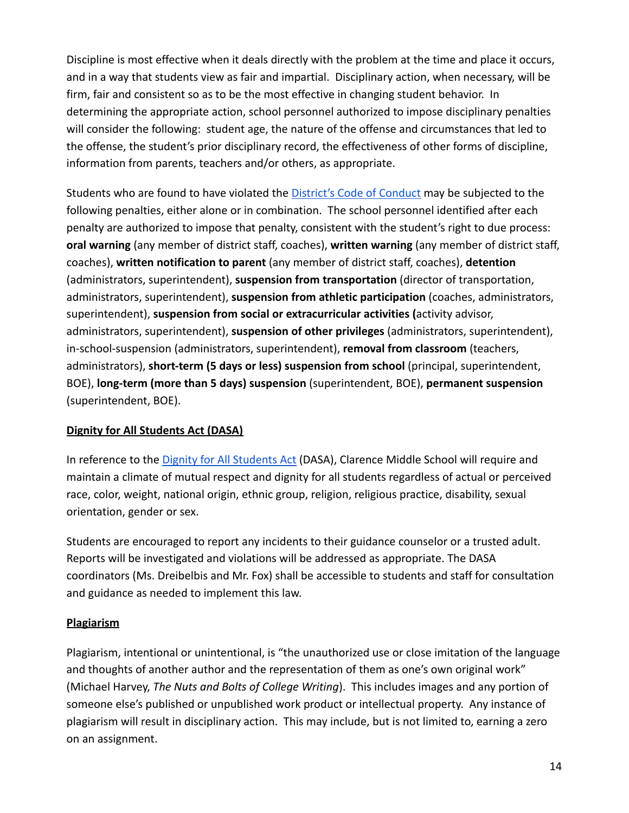Discipline is most effective when it deals directly with the problem at the time and place it occurs, and in a way that students view as fair and impartial. Disciplinary action, when necessary, will be firm, fair and consistent so as to be the most effective in changing student behavior. In determining the appropriate action, school personnel authorized to impose disciplinary penalties will consider the following: student age, the nature of the offense and circumstances that led to the offense, the student's prior disciplinary record, the effectiveness of other forms of discipline, information from parents, teachers and/or others, as appropriate.

Students who are found to have violated the District's [Code of Conduct](https://www.clarenceschools.org/domain/23) may be subjected to the following penalties, either alone or in combination. The school personnel identified after each penalty are authorized to impose that penalty, consistent with the student's right to due process: **oral warning** (any member of district staff, coaches), **written warning** (any member of district staff, coaches), **written notification to parent** (any member of district staff, coaches), **detention** (administrators, superintendent), **suspension from transportation** (director of transportation, administrators, superintendent), **suspension from athletic participation** (coaches, administrators, superintendent), **suspension from social or extracurricular activities (**activity advisor, administrators, superintendent), **suspension of other privileges** (administrators, superintendent), in-school-suspension (administrators, superintendent), **removal from classroom** (teachers, administrators), **short-term (5 days or less) suspension from school** (principal, superintendent, BOE), **long-term (more than 5 days) suspension** (superintendent, BOE), **permanent suspension** (superintendent, BOE).

# **Dignity for All Students Act (DASA)**

In reference to the [Dignity for All Students Act](https://www.clarenceschools.org/domain/965) (DASA), Clarence Middle School will require and maintain a climate of mutual respect and dignity for all students regardless of actual or perceived race, color, weight, national origin, ethnic group, religion, religious practice, disability, sexual orientation, gender or sex.

Students are encouraged to report any incidents to their guidance counselor or a trusted adult. Reports will be investigated and violations will be addressed as appropriate. The DASA coordinators (Ms. Dreibelbis and Mr. Fox) shall be accessible to students and staff for consultation and guidance as needed to implement this law.

# **Plagiarism**

Plagiarism, intentional or unintentional, is "the unauthorized use or close imitation of the language and thoughts of another author and the representation of them as one's own original work" (Michael Harvey, *The Nuts and Bolts of College Writing*). This includes images and any portion of someone else's published or unpublished work product or intellectual property. Any instance of plagiarism will result in disciplinary action. This may include, but is not limited to, earning a zero on an assignment.